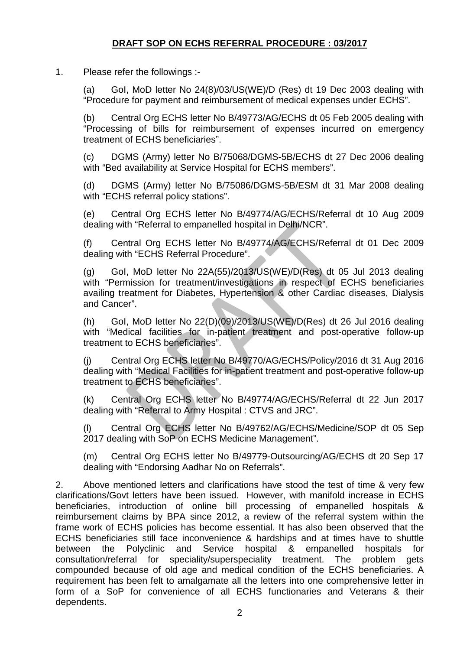## **DRAFT SOP ON ECHS REFERRAL PROCEDURE : 03/2017**

1. Please refer the followings :-

(a) GoI, MoD letter No 24(8)/03/US(WE)/D (Res) dt 19 Dec 2003 dealing with "Procedure for payment and reimbursement of medical expenses under ECHS".

(b) Central Org ECHS letter No B/49773/AG/ECHS dt 05 Feb 2005 dealing with "Processing of bills for reimbursement of expenses incurred on emergency treatment of ECHS beneficiaries".

(c) DGMS (Army) letter No B/75068/DGMS-5B/ECHS dt 27 Dec 2006 dealing with "Bed availability at Service Hospital for ECHS members".

(d) DGMS (Army) letter No B/75086/DGMS-5B/ESM dt 31 Mar 2008 dealing with "ECHS referral policy stations".

(e) Central Org ECHS letter No B/49774/AG/ECHS/Referral dt 10 Aug 2009 dealing with "Referral to empanelled hospital in Delhi/NCR".

(f) Central Org ECHS letter No B/49774/AG/ECHS/Referral dt 01 Dec 2009 dealing with "ECHS Referral Procedure".

(g) GoI, MoD letter No 22A(55)/2013/US(WE)/D(Res) dt 05 Jul 2013 dealing with "Permission for treatment/investigations in respect of ECHS beneficiaries availing treatment for Diabetes, Hypertension & other Cardiac diseases, Dialysis and Cancer".

(h) GoI, MoD letter No 22(D)(09)/2013/US(WE)/D(Res) dt 26 Jul 2016 dealing with "Medical facilities for in-patient treatment and post-operative follow-up treatment to ECHS beneficiaries".

(j) Central Org ECHS letter No B/49770/AG/ECHS/Policy/2016 dt 31 Aug 2016 dealing with "Medical Facilities for in-patient treatment and post-operative follow-up treatment to ECHS beneficiaries".

(k) Central Org ECHS letter No B/49774/AG/ECHS/Referral dt 22 Jun 2017 dealing with "Referral to Army Hospital : CTVS and JRC".

(l) Central Org ECHS letter No B/49762/AG/ECHS/Medicine/SOP dt 05 Sep 2017 dealing with SoP on ECHS Medicine Management".

(m) Central Org ECHS letter No B/49779-Outsourcing/AG/ECHS dt 20 Sep 17 dealing with "Endorsing Aadhar No on Referrals".

2. Above mentioned letters and clarifications have stood the test of time & very few clarifications/Govt letters have been issued. However, with manifold increase in ECHS beneficiaries, introduction of online bill processing of empanelled hospitals & reimbursement claims by BPA since 2012, a review of the referral system within the frame work of ECHS policies has become essential. It has also been observed that the ECHS beneficiaries still face inconvenience & hardships and at times have to shuttle between the Polyclinic and Service hospital & empanelled hospitals for consultation/referral for speciality/superspeciality treatment. The problem gets compounded because of old age and medical condition of the ECHS beneficiaries. A requirement has been felt to amalgamate all the letters into one comprehensive letter in form of a SoP for convenience of all ECHS functionaries and Veterans & their dependents.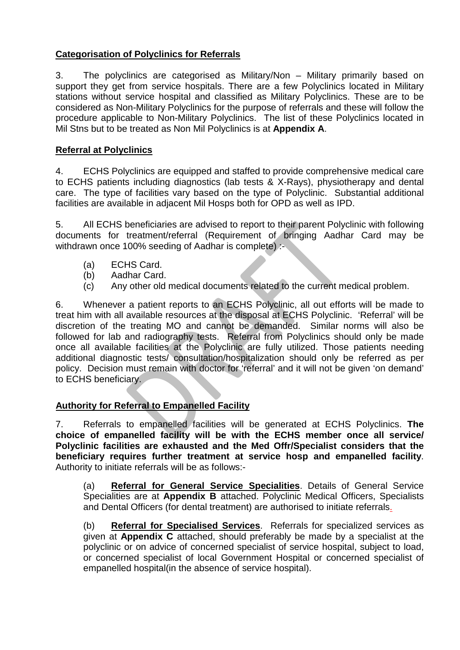## **Categorisation of Polyclinics for Referrals**

3. The polyclinics are categorised as Military/Non – Military primarily based on support they get from service hospitals. There are a few Polyclinics located in Military stations without service hospital and classified as Military Polyclinics. These are to be considered as Non-Military Polyclinics for the purpose of referrals and these will follow the procedure applicable to Non-Military Polyclinics. The list of these Polyclinics located in Mil Stns but to be treated as Non Mil Polyclinics is at **Appendix A**.

## **Referral at Polyclinics**

4. ECHS Polyclinics are equipped and staffed to provide comprehensive medical care to ECHS patients including diagnostics (lab tests & X-Rays), physiotherapy and dental care. The type of facilities vary based on the type of Polyclinic. Substantial additional facilities are available in adjacent Mil Hosps both for OPD as well as IPD.

5. All ECHS beneficiaries are advised to report to their parent Polyclinic with following documents for treatment/referral (Requirement of bringing Aadhar Card may be withdrawn once 100% seeding of Aadhar is complete) :-

- (a) ECHS Card.
- (b) Aadhar Card.
- (c) Any other old medical documents related to the current medical problem.

6. Whenever a patient reports to an ECHS Polyclinic, all out efforts will be made to treat him with all available resources at the disposal at ECHS Polyclinic. 'Referral' will be discretion of the treating MO and cannot be demanded. Similar norms will also be followed for lab and radiography tests. Referral from Polyclinics should only be made once all available facilities at the Polyclinic are fully utilized. Those patients needing additional diagnostic tests/ consultation/hospitalization should only be referred as per policy. Decision must remain with doctor for 'referral' and it will not be given 'on demand' to ECHS beneficiary.

## **Authority for Referral to Empanelled Facility**

7. Referrals to empanelled facilities will be generated at ECHS Polyclinics. **The choice of empanelled facility will be with the ECHS member once all service/ Polyclinic facilities are exhausted and the Med Offr/Specialist considers that the beneficiary requires further treatment at service hosp and empanelled facility**. Authority to initiate referrals will be as follows:-

(a) **Referral for General Service Specialities**. Details of General Service Specialities are at **Appendix B** attached. Polyclinic Medical Officers, Specialists and Dental Officers (for dental treatment) are authorised to initiate referrals.

(b) **Referral for Specialised Services**. Referrals for specialized services as given at **Appendix C** attached, should preferably be made by a specialist at the polyclinic or on advice of concerned specialist of service hospital, subject to load, or concerned specialist of local Government Hospital or concerned specialist of empanelled hospital(in the absence of service hospital).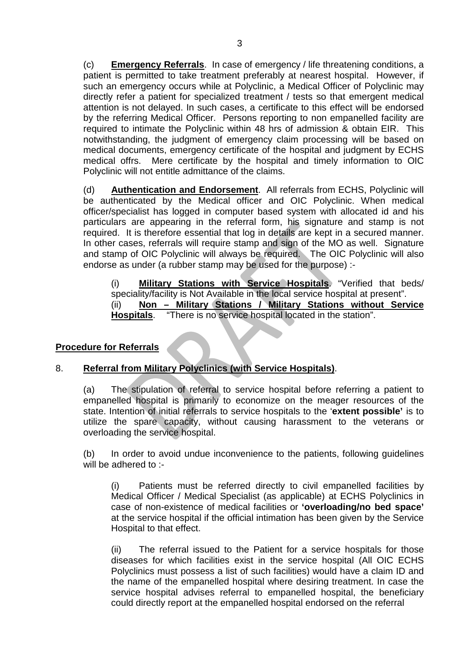(c) **Emergency Referrals**. In case of emergency / life threatening conditions, a patient is permitted to take treatment preferably at nearest hospital. However, if such an emergency occurs while at Polyclinic, a Medical Officer of Polyclinic may directly refer a patient for specialized treatment / tests so that emergent medical attention is not delayed. In such cases, a certificate to this effect will be endorsed by the referring Medical Officer. Persons reporting to non empanelled facility are required to intimate the Polyclinic within 48 hrs of admission & obtain EIR. This notwithstanding, the judgment of emergency claim processing will be based on medical documents, emergency certificate of the hospital and judgment by ECHS medical offrs. Mere certificate by the hospital and timely information to OIC Polyclinic will not entitle admittance of the claims.

(d) **Authentication and Endorsement**. All referrals from ECHS, Polyclinic will be authenticated by the Medical officer and OIC Polyclinic. When medical officer/specialist has logged in computer based system with allocated id and his particulars are appearing in the referral form, his signature and stamp is not required. It is therefore essential that log in details are kept in a secured manner. In other cases, referrals will require stamp and sign of the MO as well. Signature and stamp of OIC Polyclinic will always be required. The OIC Polyclinic will also endorse as under (a rubber stamp may be used for the purpose) :-

(i) **Military Stations with Service Hospitals**. "Verified that beds/ speciality/facility is Not Available in the local service hospital at present". (ii) **Non – Military Stations / Military Stations without Service Hospitals**. "There is no service hospital located in the station".

## **Procedure for Referrals**

#### 8. **Referral from Military Polyclinics (with Service Hospitals)**.

(a) The stipulation of referral to service hospital before referring a patient to empanelled hospital is primarily to economize on the meager resources of the state. Intention of initial referrals to service hospitals to the '**extent possible'** is to utilize the spare capacity, without causing harassment to the veterans or overloading the service hospital.

(b) In order to avoid undue inconvenience to the patients, following guidelines will be adhered to :-

(i) Patients must be referred directly to civil empanelled facilities by Medical Officer / Medical Specialist (as applicable) at ECHS Polyclinics in case of non-existence of medical facilities or **'overloading/no bed space'**  at the service hospital if the official intimation has been given by the Service Hospital to that effect.

(ii) The referral issued to the Patient for a service hospitals for those diseases for which facilities exist in the service hospital (All OIC ECHS Polyclinics must possess a list of such facilities) would have a claim ID and the name of the empanelled hospital where desiring treatment. In case the service hospital advises referral to empanelled hospital, the beneficiary could directly report at the empanelled hospital endorsed on the referral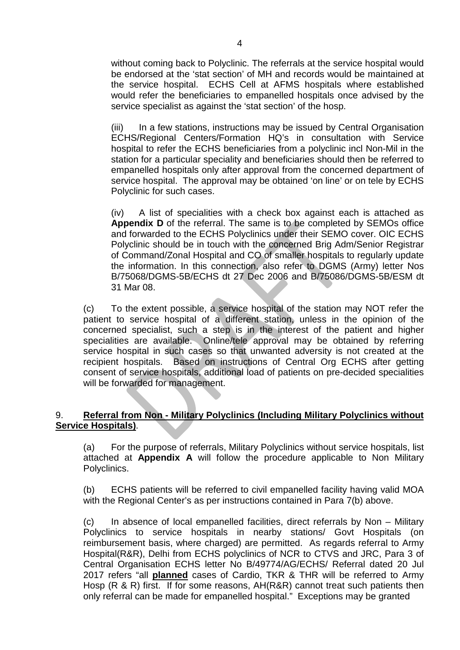without coming back to Polyclinic. The referrals at the service hospital would be endorsed at the 'stat section' of MH and records would be maintained at the service hospital. ECHS Cell at AFMS hospitals where established would refer the beneficiaries to empanelled hospitals once advised by the service specialist as against the 'stat section' of the hosp.

(iii) In a few stations, instructions may be issued by Central Organisation ECHS/Regional Centers/Formation HQ's in consultation with Service hospital to refer the ECHS beneficiaries from a polyclinic incl Non-Mil in the station for a particular speciality and beneficiaries should then be referred to empanelled hospitals only after approval from the concerned department of service hospital. The approval may be obtained 'on line' or on tele by ECHS Polyclinic for such cases.

(iv) A list of specialities with a check box against each is attached as **Appendix D** of the referral. The same is to be completed by SEMOs office and forwarded to the ECHS Polyclinics under their SEMO cover. OIC ECHS Polyclinic should be in touch with the concerned Brig Adm/Senior Registrar of Command/Zonal Hospital and CO of smaller hospitals to regularly update the information. In this connection, also refer to DGMS (Army) letter Nos B/75068/DGMS-5B/ECHS dt 27 Dec 2006 and B/75086/DGMS-5B/ESM dt 31 Mar 08.

(c) To the extent possible, a service hospital of the station may NOT refer the patient to service hospital of a different station, unless in the opinion of the concerned specialist, such a step is in the interest of the patient and higher specialities are available. Online/tele approval may be obtained by referring service hospital in such cases so that unwanted adversity is not created at the recipient hospitals. Based on instructions of Central Org ECHS after getting consent of service hospitals, additional load of patients on pre-decided specialities will be forwarded for management.

### 9. **Referral from Non - Military Polyclinics (Including Military Polyclinics without Service Hospitals)**.

(a) For the purpose of referrals, Military Polyclinics without service hospitals, list attached at **Appendix A** will follow the procedure applicable to Non Military Polyclinics.

(b) ECHS patients will be referred to civil empanelled facility having valid MOA with the Regional Center's as per instructions contained in Para 7(b) above.

(c) In absence of local empanelled facilities, direct referrals by Non – Military Polyclinics to service hospitals in nearby stations/ Govt Hospitals (on reimbursement basis, where charged) are permitted. As regards referral to Army Hospital(R&R), Delhi from ECHS polyclinics of NCR to CTVS and JRC, Para 3 of Central Organisation ECHS letter No B/49774/AG/ECHS/ Referral dated 20 Jul 2017 refers "all **planned** cases of Cardio, TKR & THR will be referred to Army Hosp (R & R) first. If for some reasons, AH(R&R) cannot treat such patients then only referral can be made for empanelled hospital." Exceptions may be granted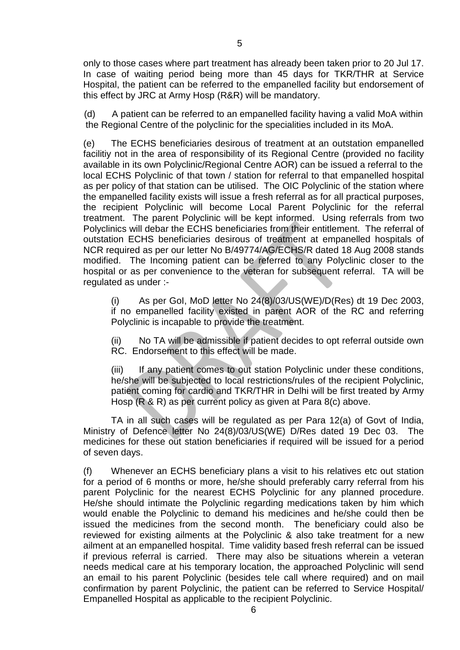only to those cases where part treatment has already been taken prior to 20 Jul 17. In case of waiting period being more than 45 days for TKR/THR at Service Hospital, the patient can be referred to the empanelled facility but endorsement of this effect by JRC at Army Hosp (R&R) will be mandatory.

(d) A patient can be referred to an empanelled facility having a valid MoA within the Regional Centre of the polyclinic for the specialities included in its MoA.

(e) The ECHS beneficiaries desirous of treatment at an outstation empanelled facilitiy not in the area of responsibility of its Regional Centre (provided no facility available in its own Polyclinic/Regional Centre AOR) can be issued a referral to the local ECHS Polyclinic of that town / station for referral to that empanelled hospital as per policy of that station can be utilised. The OIC Polyclinic of the station where the empanelled facility exists will issue a fresh referral as for all practical purposes, the recipient Polyclinic will become Local Parent Polyclinic for the referral treatment. The parent Polyclinic will be kept informed. Using referrals from two Polyclinics will debar the ECHS beneficiaries from their entitlement. The referral of outstation ECHS beneficiaries desirous of treatment at empanelled hospitals of NCR required as per our letter No B/49774/AG/ECHS/R dated 18 Aug 2008 stands modified. The Incoming patient can be referred to any Polyclinic closer to the hospital or as per convenience to the veteran for subsequent referral. TA will be regulated as under :-

(i) As per GoI, MoD letter No 24(8)/03/US(WE)/D(Res) dt 19 Dec 2003, if no empanelled facility existed in parent AOR of the RC and referring Polyclinic is incapable to provide the treatment.

(ii) No TA will be admissible if patient decides to opt referral outside own RC. Endorsement to this effect will be made.

(iii) If any patient comes to out station Polyclinic under these conditions, he/she will be subjected to local restrictions/rules of the recipient Polyclinic, patient coming for cardio and TKR/THR in Delhi will be first treated by Army Hosp (R & R) as per current policy as given at Para 8(c) above.

TA in all such cases will be regulated as per Para 12(a) of Govt of India, Ministry of Defence letter No 24(8)/03/US(WE) D/Res dated 19 Dec 03. The medicines for these out station beneficiaries if required will be issued for a period of seven days.

(f) Whenever an ECHS beneficiary plans a visit to his relatives etc out station for a period of 6 months or more, he/she should preferably carry referral from his parent Polyclinic for the nearest ECHS Polyclinic for any planned procedure. He/she should intimate the Polyclinic regarding medications taken by him which would enable the Polyclinic to demand his medicines and he/she could then be issued the medicines from the second month. The beneficiary could also be reviewed for existing ailments at the Polyclinic & also take treatment for a new ailment at an empanelled hospital. Time validity based fresh referral can be issued if previous referral is carried. There may also be situations wherein a veteran needs medical care at his temporary location, the approached Polyclinic will send an email to his parent Polyclinic (besides tele call where required) and on mail confirmation by parent Polyclinic, the patient can be referred to Service Hospital/ Empanelled Hospital as applicable to the recipient Polyclinic.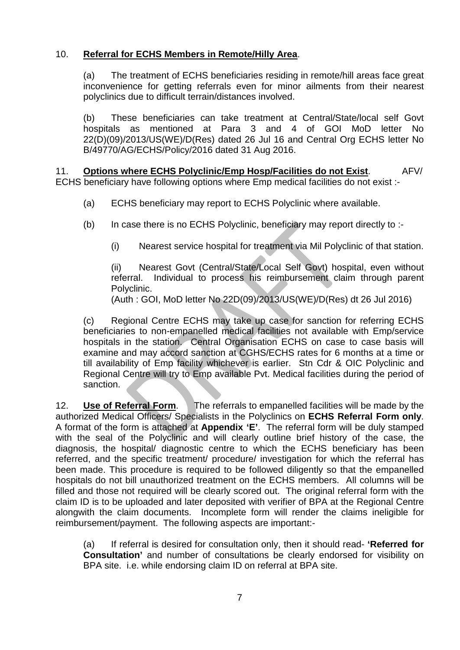## 10. **Referral for ECHS Members in Remote/Hilly Area**.

(a) The treatment of ECHS beneficiaries residing in remote/hill areas face great inconvenience for getting referrals even for minor ailments from their nearest polyclinics due to difficult terrain/distances involved.

(b) These beneficiaries can take treatment at Central/State/local self Govt hospitals as mentioned at Para 3 and 4 of GOI MoD letter No 22(D)(09)/2013/US(WE)/D(Res) dated 26 Jul 16 and Central Org ECHS letter No B/49770/AG/ECHS/Policy/2016 dated 31 Aug 2016.

11. **Options where ECHS Polyclinic/Emp Hosp/Facilities do not Exist**. AFV/ ECHS beneficiary have following options where Emp medical facilities do not exist :-

- (a) ECHS beneficiary may report to ECHS Polyclinic where available.
- (b) In case there is no ECHS Polyclinic, beneficiary may report directly to :-
	- (i) Nearest service hospital for treatment via Mil Polyclinic of that station.

(ii) Nearest Govt (Central/State/Local Self Govt) hospital, even without referral. Individual to process his reimbursement claim through parent Polyclinic.

(Auth : GOI, MoD letter No 22D(09)/2013/US(WE)/D(Res) dt 26 Jul 2016)

(c) Regional Centre ECHS may take up case for sanction for referring ECHS beneficiaries to non-empanelled medical facilities not available with Emp/service hospitals in the station. Central Organisation ECHS on case to case basis will examine and may accord sanction at CGHS/ECHS rates for 6 months at a time or till availability of Emp facility whichever is earlier. Stn Cdr & OIC Polyclinic and Regional Centre will try to Emp available Pvt. Medical facilities during the period of sanction.

12. **Use of Referral Form**. The referrals to empanelled facilities will be made by the authorized Medical Officers/ Specialists in the Polyclinics on **ECHS Referral Form only**. A format of the form is attached at **Appendix 'E'**. The referral form will be duly stamped with the seal of the Polyclinic and will clearly outline brief history of the case, the diagnosis, the hospital/ diagnostic centre to which the ECHS beneficiary has been referred, and the specific treatment/ procedure/ investigation for which the referral has been made. This procedure is required to be followed diligently so that the empanelled hospitals do not bill unauthorized treatment on the ECHS members. All columns will be filled and those not required will be clearly scored out. The original referral form with the claim ID is to be uploaded and later deposited with verifier of BPA at the Regional Centre alongwith the claim documents. Incomplete form will render the claims ineligible for reimbursement/payment. The following aspects are important:-

(a) If referral is desired for consultation only, then it should read- **'Referred for Consultation'** and number of consultations be clearly endorsed for visibility on BPA site. i.e. while endorsing claim ID on referral at BPA site.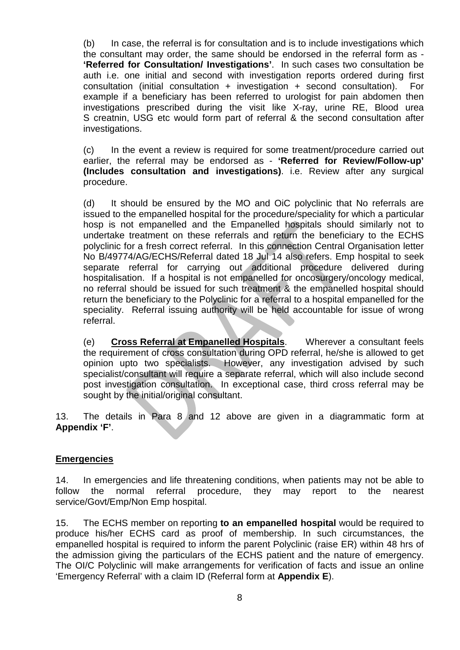(b) In case, the referral is for consultation and is to include investigations which the consultant may order, the same should be endorsed in the referral form as - **'Referred for Consultation/ Investigations'**. In such cases two consultation be auth i.e. one initial and second with investigation reports ordered during first consultation (initial consultation + investigation + second consultation). For example if a beneficiary has been referred to urologist for pain abdomen then investigations prescribed during the visit like X-ray, urine RE, Blood urea S creatnin, USG etc would form part of referral & the second consultation after investigations.

(c) In the event a review is required for some treatment/procedure carried out earlier, the referral may be endorsed as - **'Referred for Review/Follow-up' (Includes consultation and investigations)**. i.e. Review after any surgical procedure.

(d) It should be ensured by the MO and OiC polyclinic that No referrals are issued to the empanelled hospital for the procedure/speciality for which a particular hosp is not empanelled and the Empanelled hospitals should similarly not to undertake treatment on these referrals and return the beneficiary to the ECHS polyclinic for a fresh correct referral. In this connection Central Organisation letter No B/49774/AG/ECHS/Referral dated 18 Jul 14 also refers. Emp hospital to seek separate referral for carrying out additional procedure delivered during hospitalisation. If a hospital is not empanelled for oncosurgery/oncology medical, no referral should be issued for such treatment & the empanelled hospital should return the beneficiary to the Polyclinic for a referral to a hospital empanelled for the speciality. Referral issuing authority will be held accountable for issue of wrong referral.

(e) **Cross Referral at Empanelled Hospitals**. Wherever a consultant feels the requirement of cross consultation during OPD referral, he/she is allowed to get opinion upto two specialists. However, any investigation advised by such specialist/consultant will require a separate referral, which will also include second post investigation consultation. In exceptional case, third cross referral may be sought by the initial/original consultant.

13. The details in Para 8 and 12 above are given in a diagrammatic form at **Appendix 'F'**.

#### **Emergencies**

14. In emergencies and life threatening conditions, when patients may not be able to follow the normal referral procedure, they may report to the nearest service/Govt/Emp/Non Emp hospital.

15. The ECHS member on reporting **to an empanelled hospital** would be required to produce his/her ECHS card as proof of membership. In such circumstances, the empanelled hospital is required to inform the parent Polyclinic (raise ER) within 48 hrs of the admission giving the particulars of the ECHS patient and the nature of emergency. The OI/C Polyclinic will make arrangements for verification of facts and issue an online 'Emergency Referral' with a claim ID (Referral form at **Appendix E**).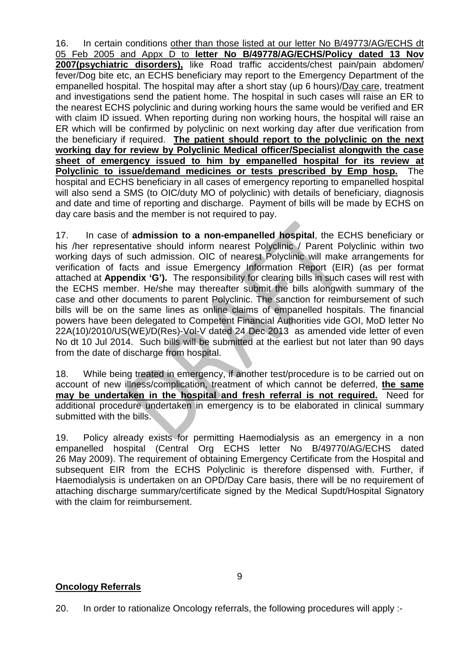16. In certain conditions other than those listed at our letter No B/49773/AG/ECHS dt 05 Feb 2005 and Appx D to **letter No B/49778/AG/ECHS/Policy dated 13 Nov 2007(psychiatric disorders),** like Road traffic accidents/chest pain/pain abdomen/ fever/Dog bite etc, an ECHS beneficiary may report to the Emergency Department of the empanelled hospital. The hospital may after a short stay (up 6 hours)/Day care, treatment and investigations send the patient home. The hospital in such cases will raise an ER to the nearest ECHS polyclinic and during working hours the same would be verified and ER with claim ID issued. When reporting during non working hours, the hospital will raise an ER which will be confirmed by polyclinic on next working day after due verification from the beneficiary if required. **The patient should report to the polyclinic on the next working day for review by Polyclinic Medical officer/Specialist alongwith the case sheet of emergency issued to him by empanelled hospital for its review at Polyclinic to issue/demand medicines or tests prescribed by Emp hosp.** The hospital and ECHS beneficiary in all cases of emergency reporting to empanelled hospital will also send a SMS (to OIC/duty MO of polyclinic) with details of beneficiary, diagnosis and date and time of reporting and discharge. Payment of bills will be made by ECHS on day care basis and the member is not required to pay.

17. In case of **admission to a non-empanelled hospital**, the ECHS beneficiary or his /her representative should inform nearest Polyclinic / Parent Polyclinic within two working days of such admission. OIC of nearest Polyclinic will make arrangements for verification of facts and issue Emergency Information Report (EIR) (as per format attached at **Appendix 'G').** The responsibility for clearing bills in such cases will rest with the ECHS member. He/she may thereafter submit the bills alongwith summary of the case and other documents to parent Polyclinic. The sanction for reimbursement of such bills will be on the same lines as online claims of empanelled hospitals. The financial powers have been delegated to Competent Financial Authorities vide GOI, MoD letter No 22A(10)/2010/US(WE)/D(Res)-Vol-V dated 24 Dec 2013 as amended vide letter of even No dt 10 Jul 2014. Such bills will be submitted at the earliest but not later than 90 days from the date of discharge from hospital.

18. While being treated in emergency, if another test/procedure is to be carried out on account of new illness/complication, treatment of which cannot be deferred, **the same may be undertaken in the hospital and fresh referral is not required.** Need for additional procedure undertaken in emergency is to be elaborated in clinical summary submitted with the bills.

19. Policy already exists for permitting Haemodialysis as an emergency in a non empanelled hospital (Central Org ECHS letter No B/49770/AG/ECHS dated 26 May 2009). The requirement of obtaining Emergency Certificate from the Hospital and subsequent EIR from the ECHS Polyclinic is therefore dispensed with. Further, if Haemodialysis is undertaken on an OPD/Day Care basis, there will be no requirement of attaching discharge summary/certificate signed by the Medical Supdt/Hospital Signatory with the claim for reimbursement.

#### **Oncology Referrals**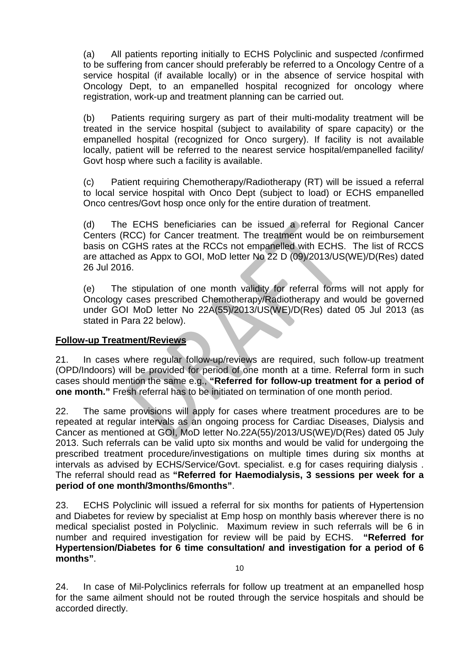(a) All patients reporting initially to ECHS Polyclinic and suspected /confirmed to be suffering from cancer should preferably be referred to a Oncology Centre of a service hospital (if available locally) or in the absence of service hospital with Oncology Dept, to an empanelled hospital recognized for oncology where registration, work-up and treatment planning can be carried out.

(b) Patients requiring surgery as part of their multi-modality treatment will be treated in the service hospital (subject to availability of spare capacity) or the empanelled hospital (recognized for Onco surgery). If facility is not available locally, patient will be referred to the nearest service hospital/empanelled facility/ Govt hosp where such a facility is available.

(c) Patient requiring Chemotherapy/Radiotherapy (RT) will be issued a referral to local service hospital with Onco Dept (subject to load) or ECHS empanelled Onco centres/Govt hosp once only for the entire duration of treatment.

(d) The ECHS beneficiaries can be issued a referral for Regional Cancer Centers (RCC) for Cancer treatment. The treatment would be on reimbursement basis on CGHS rates at the RCCs not empanelled with ECHS. The list of RCCS are attached as Appx to GOI, MoD letter No 22 D (09)/2013/US(WE)/D(Res) dated 26 Jul 2016.

(e) The stipulation of one month validity for referral forms will not apply for Oncology cases prescribed Chemotherapy/Radiotherapy and would be governed under GOI MoD letter No 22A(55)/2013/US(WE)/D(Res) dated 05 Jul 2013 (as stated in Para 22 below).

#### **Follow-up Treatment/Reviews**

21. In cases where regular follow-up/reviews are required, such follow-up treatment (OPD/Indoors) will be provided for period of one month at a time. Referral form in such cases should mention the same e.g., **"Referred for follow-up treatment for a period of one month."** Fresh referral has to be initiated on termination of one month period.

22. The same provisions will apply for cases where treatment procedures are to be repeated at regular intervals as an ongoing process for Cardiac Diseases, Dialysis and Cancer as mentioned at GOI, MoD letter No.22A(55)/2013/US(WE)/D(Res) dated 05 July 2013. Such referrals can be valid upto six months and would be valid for undergoing the prescribed treatment procedure/investigations on multiple times during six months at intervals as advised by ECHS/Service/Govt. specialist. e.g for cases requiring dialysis . The referral should read as **"Referred for Haemodialysis, 3 sessions per week for a period of one month/3months/6months"**.

23. ECHS Polyclinic will issued a referral for six months for patients of Hypertension and Diabetes for review by specialist at Emp hosp on monthly basis wherever there is no medical specialist posted in Polyclinic. Maximum review in such referrals will be 6 in number and required investigation for review will be paid by ECHS. **"Referred for Hypertension/Diabetes for 6 time consultation/ and investigation for a period of 6 months"**.

10

24. In case of Mil-Polyclinics referrals for follow up treatment at an empanelled hosp for the same ailment should not be routed through the service hospitals and should be accorded directly.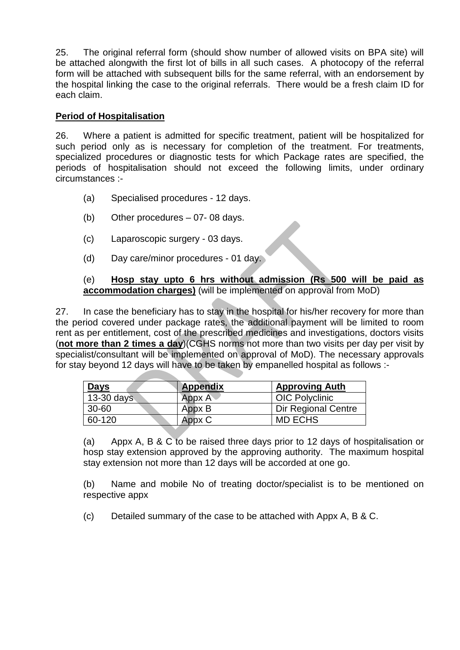25. The original referral form (should show number of allowed visits on BPA site) will be attached alongwith the first lot of bills in all such cases. A photocopy of the referral form will be attached with subsequent bills for the same referral, with an endorsement by the hospital linking the case to the original referrals. There would be a fresh claim ID for each claim.

#### **Period of Hospitalisation**

26. Where a patient is admitted for specific treatment, patient will be hospitalized for such period only as is necessary for completion of the treatment. For treatments, specialized procedures or diagnostic tests for which Package rates are specified, the periods of hospitalisation should not exceed the following limits, under ordinary circumstances :-

- (a) Specialised procedures 12 days.
- (b) Other procedures 07- 08 days.
- (c) Laparoscopic surgery 03 days.
- (d) Day care/minor procedures 01 day.

#### (e) **Hosp stay upto 6 hrs without admission (Rs 500 will be paid as accommodation charges)** (will be implemented on approval from MoD)

27. In case the beneficiary has to stay in the hospital for his/her recovery for more than the period covered under package rates, the additional payment will be limited to room rent as per entitlement, cost of the prescribed medicines and investigations, doctors visits (**not more than 2 times a day**)(CGHS norms not more than two visits per day per visit by specialist/consultant will be implemented on approval of MoD). The necessary approvals for stay beyond 12 days will have to be taken by empanelled hospital as follows :-

| <b>Days</b>  | Appendix   | <b>Approving Auth</b>      |
|--------------|------------|----------------------------|
| $13-30$ days | $Appx A^*$ | <b>OIC Polyclinic</b>      |
| $30 - 60$    | Appx B     | <b>Dir Regional Centre</b> |
| 60-120       | Appx C     | <b>MD ECHS</b>             |

(a) Appx A, B & C to be raised three days prior to 12 days of hospitalisation or hosp stay extension approved by the approving authority. The maximum hospital stay extension not more than 12 days will be accorded at one go.

(b) Name and mobile No of treating doctor/specialist is to be mentioned on respective appx

(c) Detailed summary of the case to be attached with Appx A, B & C.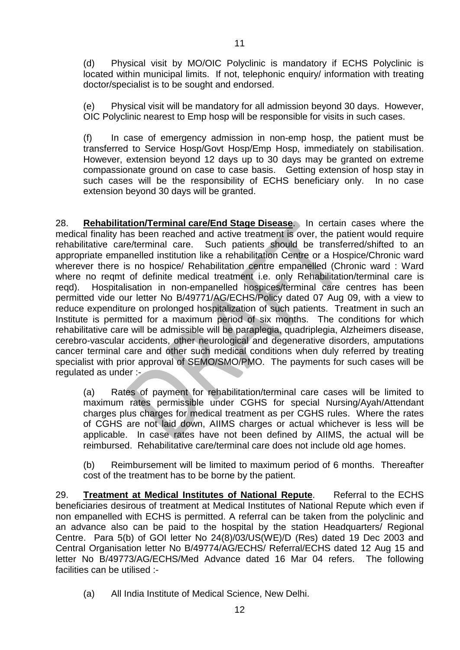(d) Physical visit by MO/OIC Polyclinic is mandatory if ECHS Polyclinic is located within municipal limits. If not, telephonic enquiry/ information with treating doctor/specialist is to be sought and endorsed.

(e) Physical visit will be mandatory for all admission beyond 30 days. However, OIC Polyclinic nearest to Emp hosp will be responsible for visits in such cases.

(f) In case of emergency admission in non-emp hosp, the patient must be transferred to Service Hosp/Govt Hosp/Emp Hosp, immediately on stabilisation. However, extension beyond 12 days up to 30 days may be granted on extreme compassionate ground on case to case basis. Getting extension of hosp stay in such cases will be the responsibility of ECHS beneficiary only. In no case extension beyond 30 days will be granted.

28. **Rehabilitation/Terminal care/End Stage Disease**. In certain cases where the medical finality has been reached and active treatment is over, the patient would require rehabilitative care/terminal care. Such patients should be transferred/shifted to an appropriate empanelled institution like a rehabilitation Centre or a Hospice/Chronic ward wherever there is no hospice/ Rehabilitation centre empanelled (Chronic ward : Ward where no reqmt of definite medical treatment i.e. only Rehabilitation/terminal care is reqd). Hospitalisation in non-empanelled hospices/terminal care centres has been permitted vide our letter No B/49771/AG/ECHS/Policy dated 07 Aug 09, with a view to reduce expenditure on prolonged hospitalization of such patients. Treatment in such an Institute is permitted for a maximum period of six months. The conditions for which rehabilitative care will be admissible will be paraplegia, quadriplegia, Alzheimers disease, cerebro-vascular accidents, other neurological and degenerative disorders, amputations cancer terminal care and other such medical conditions when duly referred by treating specialist with prior approval of SEMO/SMO/PMO. The payments for such cases will be regulated as under :-

(a) Rates of payment for rehabilitation/terminal care cases will be limited to maximum rates permissible under CGHS for special Nursing/Ayah/Attendant charges plus charges for medical treatment as per CGHS rules. Where the rates of CGHS are not laid down, AIIMS charges or actual whichever is less will be applicable. In case rates have not been defined by AIIMS, the actual will be reimbursed. Rehabilitative care/terminal care does not include old age homes.

(b) Reimbursement will be limited to maximum period of 6 months. Thereafter cost of the treatment has to be borne by the patient.

29. **Treatment at Medical Institutes of National Repute**. Referral to the ECHS beneficiaries desirous of treatment at Medical Institutes of National Repute which even if non empanelled with ECHS is permitted. A referral can be taken from the polyclinic and an advance also can be paid to the hospital by the station Headquarters/ Regional Centre. Para 5(b) of GOI letter No 24(8)/03/US(WE)/D (Res) dated 19 Dec 2003 and Central Organisation letter No B/49774/AG/ECHS/ Referral/ECHS dated 12 Aug 15 and letter No B/49773/AG/ECHS/Med Advance dated 16 Mar 04 refers. The following facilities can be utilised :-

(a) All India Institute of Medical Science, New Delhi.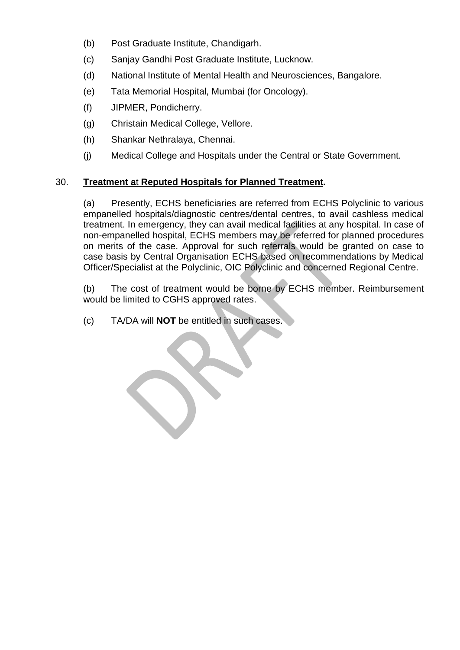- (b) Post Graduate Institute, Chandigarh.
- (c) Sanjay Gandhi Post Graduate Institute, Lucknow.
- (d) National Institute of Mental Health and Neurosciences, Bangalore.
- (e) Tata Memorial Hospital, Mumbai (for Oncology).
- (f) JIPMER, Pondicherry.
- (g) Christain Medical College, Vellore.
- (h) Shankar Nethralaya, Chennai.
- (j) Medical College and Hospitals under the Central or State Government.

## 30. **Treatment a**t **Reputed Hospitals for Planned Treatment.**

(a) Presently, ECHS beneficiaries are referred from ECHS Polyclinic to various empanelled hospitals/diagnostic centres/dental centres, to avail cashless medical treatment. In emergency, they can avail medical facilities at any hospital. In case of non-empanelled hospital, ECHS members may be referred for planned procedures on merits of the case. Approval for such referrals would be granted on case to case basis by Central Organisation ECHS based on recommendations by Medical Officer/Specialist at the Polyclinic, OIC Polyclinic and concerned Regional Centre.

(b) The cost of treatment would be borne by ECHS member. Reimbursement would be limited to CGHS approved rates.

(c) TA/DA will **NOT** be entitled in such cases.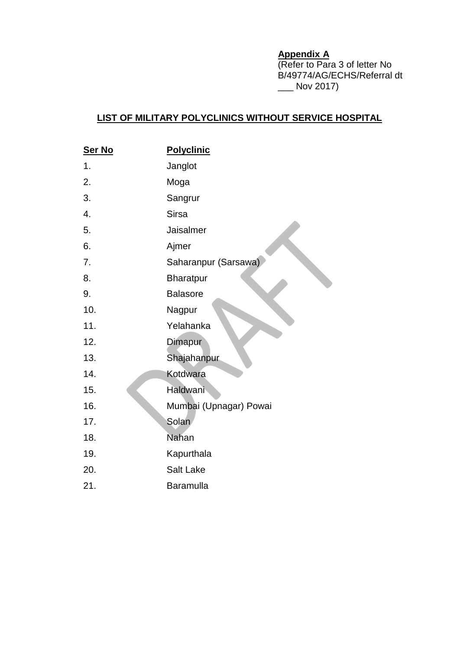## **Appendix A**

(Refer to Para 3 of letter No B/49774/AG/ECHS/Referral dt  $\frac{1}{2}$  Nov 2017)

## **LIST OF MILITARY POLYCLINICS WITHOUT SERVICE HOSPITAL**

| <b>Polyclinic</b>      |
|------------------------|
| Janglot                |
| Moga                   |
| Sangrur                |
| <b>Sirsa</b>           |
| Jaisalmer              |
| Ajmer                  |
| Saharanpur (Sarsawa)   |
| <b>Bharatpur</b>       |
| <b>Balasore</b>        |
| Nagpur                 |
| Yelahanka              |
| Dimapur                |
| Shajahanpur            |
| Kotdwara               |
| Haldwani               |
| Mumbai (Upnagar) Powai |
| Solan                  |
| <b>Nahan</b>           |
| Kapurthala             |
| Salt Lake              |
| <b>Baramulla</b>       |
|                        |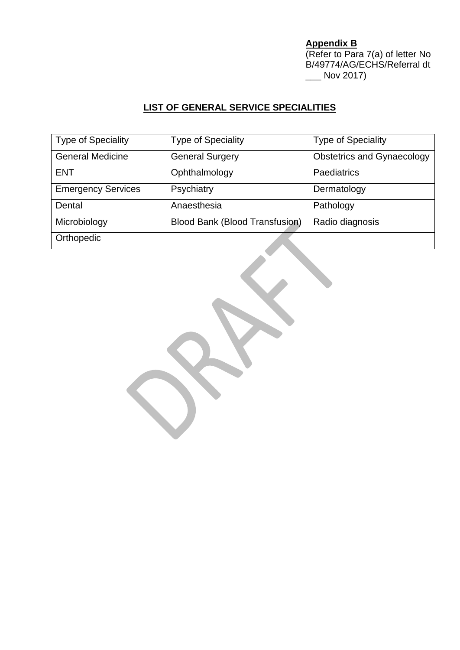**Appendix B** (Refer to Para 7(a) of letter No B/49774/AG/ECHS/Referral dt \_\_\_ Nov 2017)

# **LIST OF GENERAL SERVICE SPECIALITIES**

| <b>Type of Speciality</b> | <b>Type of Speciality</b>             | <b>Type of Speciality</b>         |
|---------------------------|---------------------------------------|-----------------------------------|
| <b>General Medicine</b>   | <b>General Surgery</b>                | <b>Obstetrics and Gynaecology</b> |
| <b>ENT</b>                | Ophthalmology                         | <b>Paediatrics</b>                |
| <b>Emergency Services</b> | Psychiatry                            | Dermatology                       |
| Dental                    | Anaesthesia                           | Pathology                         |
| Microbiology              | <b>Blood Bank (Blood Transfusion)</b> | Radio diagnosis                   |
| Orthopedic                |                                       |                                   |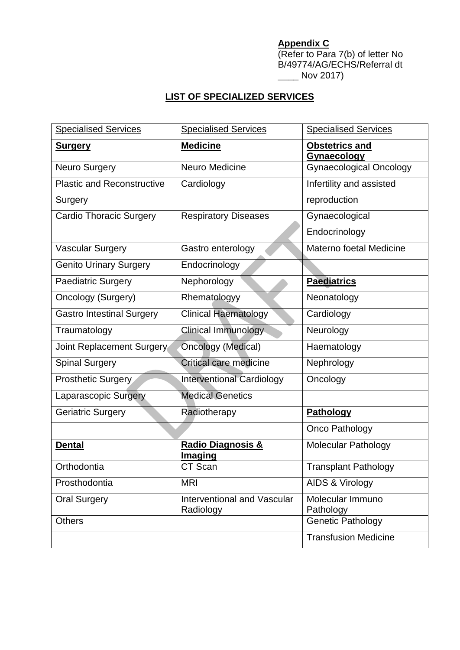# **Appendix C**

(Refer to Para 7(b) of letter No B/49774/AG/ECHS/Referral dt  $\frac{1}{2}$  Nov 2017)

# **LIST OF SPECIALIZED SERVICES**

| <b>Specialised Services</b>       | <b>Specialised Services</b>              | <b>Specialised Services</b>                 |
|-----------------------------------|------------------------------------------|---------------------------------------------|
| <u>Surgery</u>                    | <b>Medicine</b>                          | <b>Obstetrics and</b><br><b>Gynaecology</b> |
| Neuro Surgery                     | Neuro Medicine                           | <b>Gynaecological Oncology</b>              |
| <b>Plastic and Reconstructive</b> | Cardiology                               | Infertility and assisted                    |
| Surgery                           |                                          | reproduction                                |
| <b>Cardio Thoracic Surgery</b>    | <b>Respiratory Diseases</b>              | Gynaecological                              |
|                                   |                                          | Endocrinology                               |
| <b>Vascular Surgery</b>           | Gastro enterology                        | Materno foetal Medicine                     |
| <b>Genito Urinary Surgery</b>     | Endocrinology                            |                                             |
| <b>Paediatric Surgery</b>         | Nephorology                              | <b>Paediatrics</b>                          |
| <b>Oncology (Surgery)</b>         | Rhematologyy                             | Neonatology                                 |
| <b>Gastro Intestinal Surgery</b>  | <b>Clinical Haematology</b>              | Cardiology                                  |
| Traumatology                      | Clinical Immunology                      | Neurology                                   |
| Joint Replacement Surgery         | <b>Oncology (Medical)</b>                | Haematology                                 |
| <b>Spinal Surgery</b>             | Critical care medicine                   | Nephrology                                  |
| <b>Prosthetic Surgery</b>         | <b>Interventional Cardiology</b>         | Oncology                                    |
| <b>Laparascopic Surgery</b>       | <b>Medical Genetics</b>                  |                                             |
| <b>Geriatric Surgery</b>          | Radiotherapy                             | <b>Pathology</b>                            |
|                                   |                                          | Onco Pathology                              |
| <b>Dental</b>                     | Radio Diagnosis &<br><b>Imaging</b>      | Molecular Pathology                         |
| Orthodontia                       | CT Scan                                  | <b>Transplant Pathology</b>                 |
| Prosthodontia                     | <b>MRI</b>                               | AIDS & Virology                             |
| <b>Oral Surgery</b>               | Interventional and Vascular<br>Radiology | Molecular Immuno<br>Pathology               |
| <b>Others</b>                     |                                          | <b>Genetic Pathology</b>                    |
|                                   |                                          | <b>Transfusion Medicine</b>                 |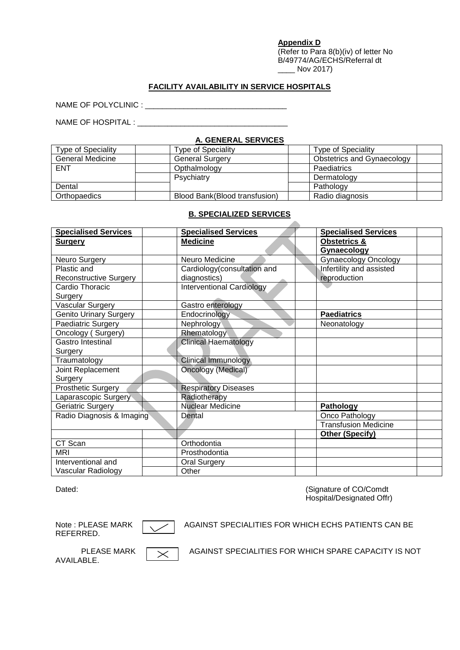#### **Appendix D**

(Refer to Para 8(b)(iv) of letter No B/49774/AG/ECHS/Referral dt \_\_\_\_ Nov 2017)

#### **FACILITY AVAILABILITY IN SERVICE HOSPITALS**

NAME OF POLYCLINIC : \_\_\_\_\_\_\_\_\_\_\_\_\_\_\_\_\_\_\_\_\_\_\_\_\_\_\_\_\_\_\_\_\_

NAME OF HOSPITAL : \_\_\_\_\_\_\_\_\_\_\_\_\_\_\_\_\_\_\_\_\_\_\_\_\_\_\_\_\_\_\_\_\_\_\_

#### **A. GENERAL SERVICES**

| Type of Speciality      | <b>Type of Speciality</b>     | <b>Type of Speciality</b>  |  |
|-------------------------|-------------------------------|----------------------------|--|
| <b>General Medicine</b> | <b>General Surgery</b>        | Obstetrics and Gynaecology |  |
| <b>ENT</b>              | Opthalmology                  | <b>Paediatrics</b>         |  |
|                         | Psychiatry                    | Dermatology                |  |
| Dental                  |                               | Pathology                  |  |
| Orthopaedics            | Blood Bank(Blood transfusion) | Radio diagnosis            |  |

#### **B. SPECIALIZED SERVICES**

| <b>Specialised Services</b>   | <b>Specialised Services</b>      | <b>Specialised Services</b> |
|-------------------------------|----------------------------------|-----------------------------|
| <b>Surgery</b>                | <b>Medicine</b>                  | <b>Obstetrics &amp;</b>     |
|                               |                                  | Gynaecology                 |
| Neuro Surgery                 | Neuro Medicine                   | <b>Gynaecology Oncology</b> |
| Plastic and                   | Cardiology(consultation and      | Infertility and assisted    |
| <b>Reconstructive Surgery</b> | diagnostics)                     | reproduction                |
| Cardio Thoracic               | <b>Interventional Cardiology</b> |                             |
| Surgery                       |                                  |                             |
| Vascular Surgery              | Gastro enterology                |                             |
| <b>Genito Urinary Surgery</b> | Endocrinology                    | <b>Paediatrics</b>          |
| Paediatric Surgery            | Nephrology                       | Neonatology                 |
| Oncology (Surgery)            | Rhematology                      |                             |
| Gastro Intestinal             | <b>Clinical Haematology</b>      |                             |
| Surgery                       |                                  |                             |
| Traumatology                  | Clinical Immunology              |                             |
| Joint Replacement             | Oncology (Medical)               |                             |
| Surgery                       |                                  |                             |
| <b>Prosthetic Surgery</b>     | <b>Respiratory Diseases</b>      |                             |
| Laparascopic Surgery          | Radiotherapy                     |                             |
| Geriatric Surgery             | <b>Nuclear Medicine</b>          | Pathology                   |
| Radio Diagnosis & Imaging     | Dental                           | Onco Pathology              |
|                               |                                  | <b>Transfusion Medicine</b> |
|                               |                                  | Other (Specify)             |
| CT Scan                       | Orthodontia                      |                             |
| <b>MRI</b>                    | Prosthodontia                    |                             |
| Interventional and            | <b>Oral Surgery</b>              |                             |
| Vascular Radiology            | Other                            |                             |

Dated: Communication CO/Communication CO/Communication CO/Communication CO/Communication CO/Communication CO/Communication CO/Communication CO/Communication CO/Communication CO/Communication CO/Communication CO/Communicati Hospital/Designated Offr)

REFERRED.



Note : PLEASE MARK  $\sqrt{ }$  AGAINST SPECIALITIES FOR WHICH ECHS PATIENTS CAN BE

| <b>PLEASE MA</b> |  |
|------------------|--|
| AVAILABLE.       |  |

ARK  $\sqrt{\times}$  AGAINST SPECIALITIES FOR WHICH SPARE CAPACITY IS NOT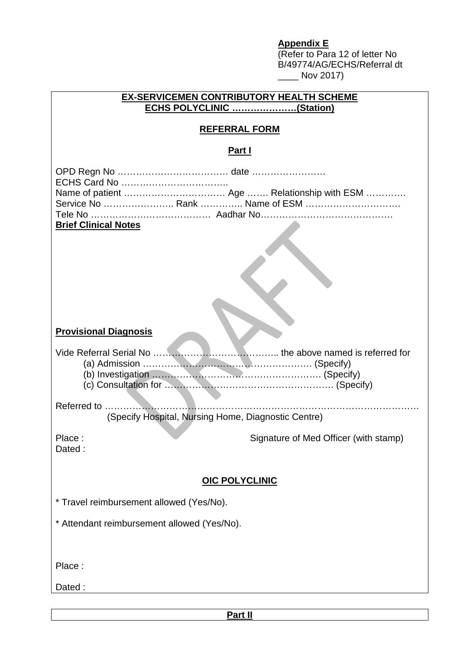## **Appendix E**

(Refer to Para 12 of letter No B/49774/AG/ECHS/Referral dt  $\frac{1}{2}$  Nov 2017)

| <b>EX-SERVICEMEN CONTRIBUTORY HEALTH SCHEME</b><br>ECHS POLYCLINIC (Station)                 |                                       |
|----------------------------------------------------------------------------------------------|---------------------------------------|
| <b>REFERRAL FORM</b>                                                                         |                                       |
| <u>Part I</u>                                                                                |                                       |
| Service No  Rank  Name of ESM<br><b>Brief Clinical Notes</b><br><b>Provisional Diagnosis</b> |                                       |
|                                                                                              |                                       |
| (Specify Hospital, Nursing Home, Diagnostic Centre)                                          |                                       |
| Place:<br>Dated:                                                                             | Signature of Med Officer (with stamp) |
| <b>OIC POLYCLINIC</b>                                                                        |                                       |
| * Travel reimbursement allowed (Yes/No).                                                     |                                       |
| * Attendant reimbursement allowed (Yes/No).                                                  |                                       |
| Place:                                                                                       |                                       |
| Dated:                                                                                       |                                       |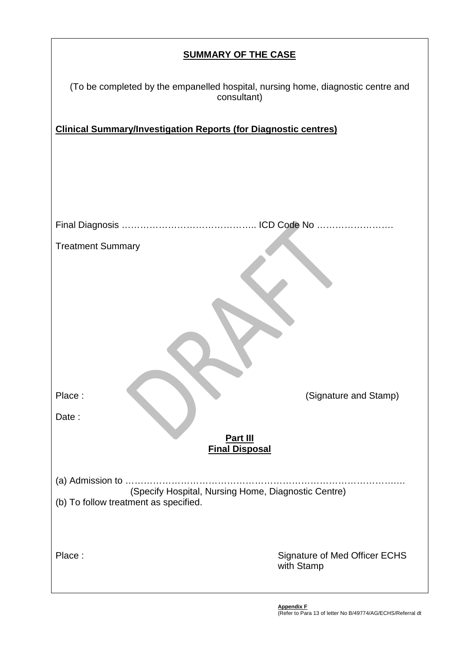| <b>SUMMARY OF THE CASE</b>                                                                      |  |  |
|-------------------------------------------------------------------------------------------------|--|--|
| (To be completed by the empanelled hospital, nursing home, diagnostic centre and<br>consultant) |  |  |
| <b>Clinical Summary/Investigation Reports (for Diagnostic centres)</b>                          |  |  |
|                                                                                                 |  |  |
|                                                                                                 |  |  |
|                                                                                                 |  |  |
|                                                                                                 |  |  |
| <b>Treatment Summary</b>                                                                        |  |  |
|                                                                                                 |  |  |
|                                                                                                 |  |  |
|                                                                                                 |  |  |
|                                                                                                 |  |  |
|                                                                                                 |  |  |
| Place:<br>(Signature and Stamp)                                                                 |  |  |
| Date:                                                                                           |  |  |
| Part III<br><b>Final Disposal</b>                                                               |  |  |
|                                                                                                 |  |  |
| (Specify Hospital, Nursing Home, Diagnostic Centre)<br>(b) To follow treatment as specified.    |  |  |
|                                                                                                 |  |  |
| Place:<br><b>Signature of Med Officer ECHS</b>                                                  |  |  |
| with Stamp                                                                                      |  |  |

 $\mathbf{r}$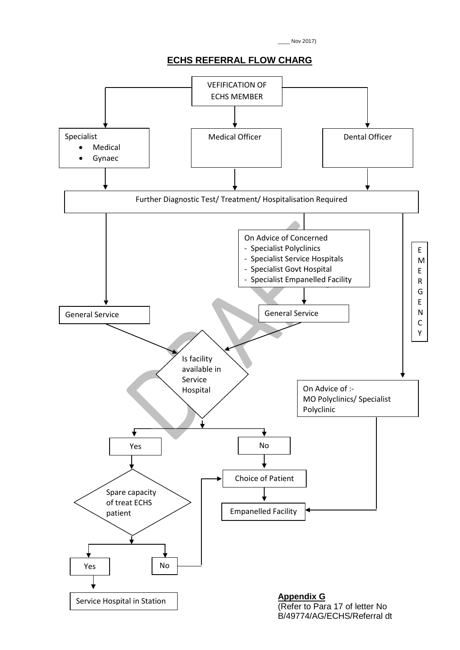\_\_\_\_ Nov 2017)

### **ECHS REFERRAL FLOW CHARG**